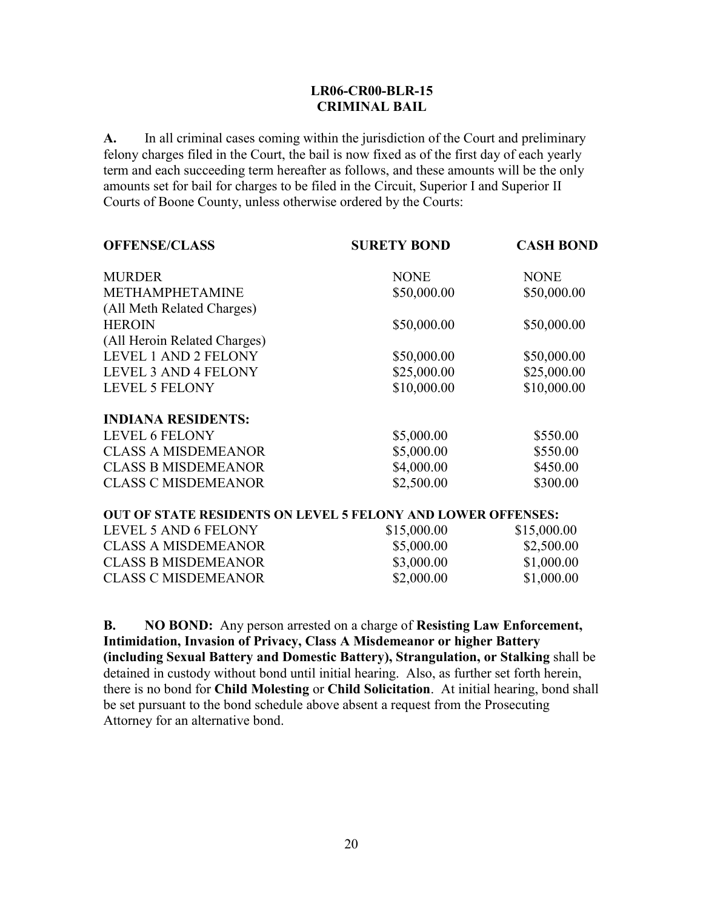## **LR06-CR00-BLR-15 CRIMINAL BAIL**

**A.** In all criminal cases coming within the jurisdiction of the Court and preliminary felony charges filed in the Court, the bail is now fixed as of the first day of each yearly term and each succeeding term hereafter as follows, and these amounts will be the only amounts set for bail for charges to be filed in the Circuit, Superior I and Superior II Courts of Boone County, unless otherwise ordered by the Courts:

| <b>OFFENSE/CLASS</b>                                                | <b>SURETY BOND</b> | <b>CASH BOND</b> |
|---------------------------------------------------------------------|--------------------|------------------|
| <b>MURDER</b>                                                       | <b>NONE</b>        | <b>NONE</b>      |
| <b>METHAMPHETAMINE</b>                                              | \$50,000.00        | \$50,000.00      |
| (All Meth Related Charges)                                          |                    |                  |
| <b>HEROIN</b>                                                       | \$50,000.00        | \$50,000.00      |
| (All Heroin Related Charges)                                        |                    |                  |
| <b>LEVEL 1 AND 2 FELONY</b>                                         | \$50,000.00        | \$50,000.00      |
| LEVEL 3 AND 4 FELONY                                                | \$25,000.00        | \$25,000.00      |
| <b>LEVEL 5 FELONY</b>                                               | \$10,000.00        | \$10,000.00      |
| <b>INDIANA RESIDENTS:</b>                                           |                    |                  |
| <b>LEVEL 6 FELONY</b>                                               | \$5,000.00         | \$550.00         |
| <b>CLASS A MISDEMEANOR</b>                                          | \$5,000.00         | \$550.00         |
| <b>CLASS B MISDEMEANOR</b>                                          | \$4,000.00         | \$450.00         |
| <b>CLASS C MISDEMEANOR</b>                                          | \$2,500.00         | \$300.00         |
| <b>OUT OF STATE RESIDENTS ON LEVEL 5 FELONY AND LOWER OFFENSES:</b> |                    |                  |
|                                                                     |                    |                  |

| \$15,000.00 | \$15,000.00 |
|-------------|-------------|
| \$5,000.00  | \$2,500.00  |
| \$3,000.00  | \$1,000.00  |
| \$2,000.00  | \$1,000.00  |
|             |             |

**B. NO BOND:** Any person arrested on a charge of **Resisting Law Enforcement, Intimidation, Invasion of Privacy, Class A Misdemeanor or higher Battery (including Sexual Battery and Domestic Battery), Strangulation, or Stalking** shall be detained in custody without bond until initial hearing. Also, as further set forth herein, there is no bond for **Child Molesting** or **Child Solicitation**. At initial hearing, bond shall be set pursuant to the bond schedule above absent a request from the Prosecuting Attorney for an alternative bond.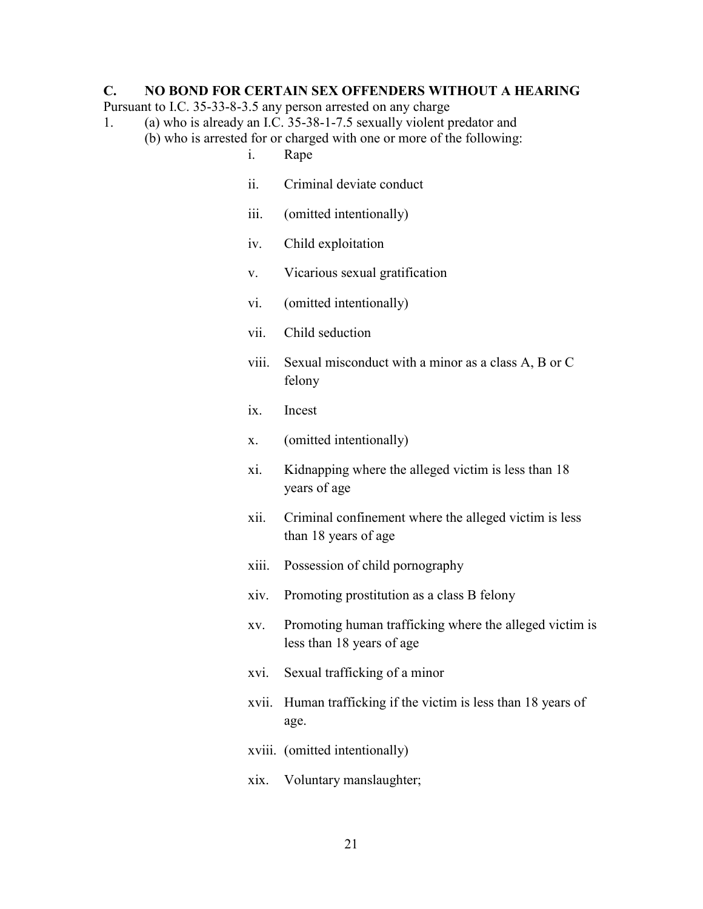## **C. NO BOND FOR CERTAIN SEX OFFENDERS WITHOUT A HEARING**

Pursuant to I.C. 35-33-8-3.5 any person arrested on any charge

- 1. (a) who is already an I.C. 35-38-1-7.5 sexually violent predator and (b) who is arrested for or charged with one or more of the following:
	- i. Rape
	- ii. Criminal deviate conduct
	- iii. (omitted intentionally)
	- iv. Child exploitation
	- v. Vicarious sexual gratification
	- vi. (omitted intentionally)
	- vii. Child seduction
	- viii. Sexual misconduct with a minor as a class A, B or C felony
	- ix. Incest
	- x. (omitted intentionally)
	- xi. Kidnapping where the alleged victim is less than 18 years of age
	- xii. Criminal confinement where the alleged victim is less than 18 years of age
	- xiii. Possession of child pornography
	- xiv. Promoting prostitution as a class B felony
	- xv. Promoting human trafficking where the alleged victim is less than 18 years of age
	- xvi. Sexual trafficking of a minor
	- xvii. Human trafficking if the victim is less than 18 years of age.
	- xviii. (omitted intentionally)
	- xix. Voluntary manslaughter;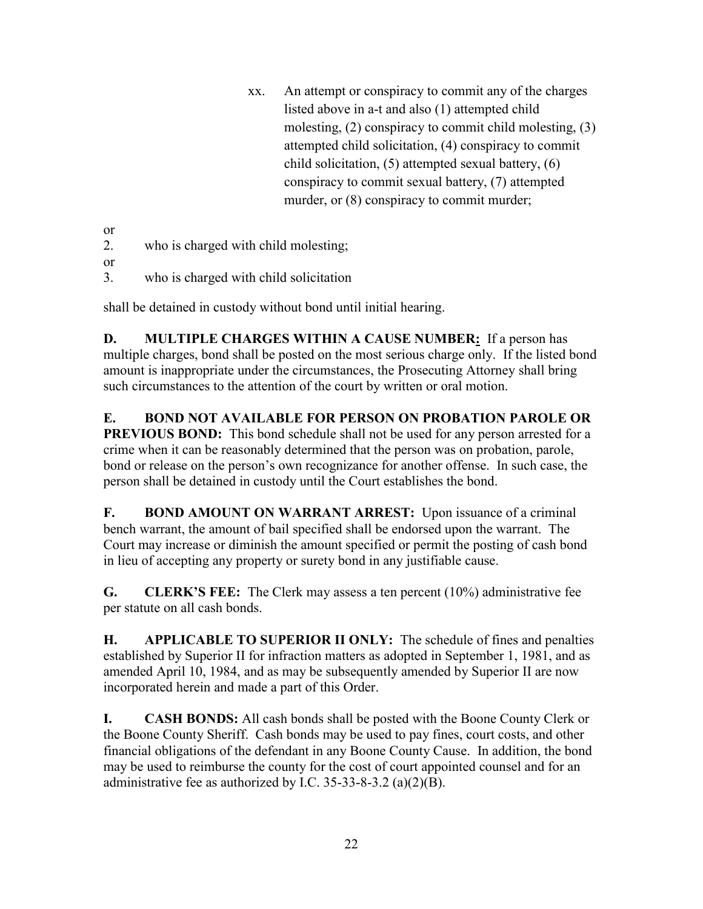xx. An attempt or conspiracy to commit any of the charges listed above in a-t and also (1) attempted child molesting, (2) conspiracy to commit child molesting, (3) attempted child solicitation, (4) conspiracy to commit child solicitation, (5) attempted sexual battery, (6) conspiracy to commit sexual battery, (7) attempted murder, or  $(8)$  conspiracy to commit murder;

or

- 2. who is charged with child molesting;
- or
- 3. who is charged with child solicitation

shall be detained in custody without bond until initial hearing.

**D. MULTIPLE CHARGES WITHIN A CAUSE NUMBER:** If a person has multiple charges, bond shall be posted on the most serious charge only. If the listed bond amount is inappropriate under the circumstances, the Prosecuting Attorney shall bring such circumstances to the attention of the court by written or oral motion.

**E. BOND NOT AVAILABLE FOR PERSON ON PROBATION PAROLE OR PREVIOUS BOND:** This bond schedule shall not be used for any person arrested for a crime when it can be reasonably determined that the person was on probation, parole, bond or release on the person's own recognizance for another offense. In such case, the person shall be detained in custody until the Court establishes the bond.

**F. BOND AMOUNT ON WARRANT ARREST:** Upon issuance of a criminal bench warrant, the amount of bail specified shall be endorsed upon the warrant. The Court may increase or diminish the amount specified or permit the posting of cash bond in lieu of accepting any property or surety bond in any justifiable cause.

**G. CLERK'S FEE:** The Clerk may assess a ten percent (10%) administrative fee per statute on all cash bonds.

**H. APPLICABLE TO SUPERIOR II ONLY:** The schedule of fines and penalties established by Superior II for infraction matters as adopted in September 1, 1981, and as amended April 10, 1984, and as may be subsequently amended by Superior II are now incorporated herein and made a part of this Order.

**I. CASH BONDS:** All cash bonds shall be posted with the Boone County Clerk or the Boone County Sheriff. Cash bonds may be used to pay fines, court costs, and other financial obligations of the defendant in any Boone County Cause. In addition, the bond may be used to reimburse the county for the cost of court appointed counsel and for an administrative fee as authorized by I.C. 35-33-8-3.2 (a) $(2)(B)$ .